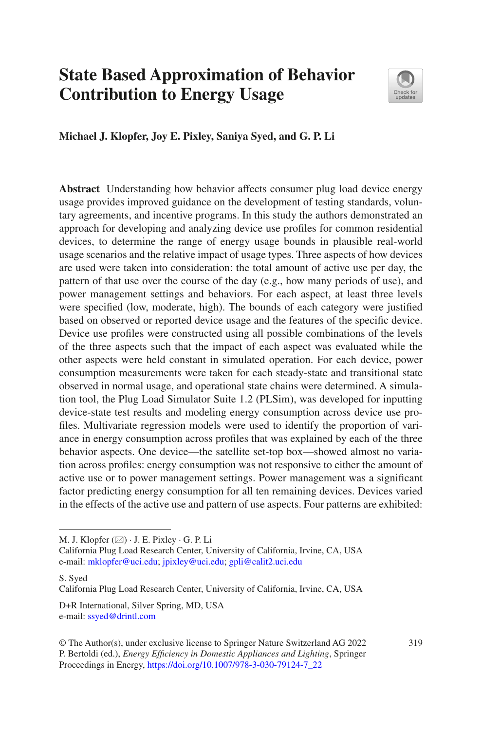# **State Based Approximation of Behavior Contribution to Energy Usage**



**Michael J. Klopfer, Joy E. Pixley, Saniya Syed, and G. P. Li**

**Abstract** Understanding how behavior affects consumer plug load device energy usage provides improved guidance on the development of testing standards, voluntary agreements, and incentive programs. In this study the authors demonstrated an approach for developing and analyzing device use profles for common residential devices, to determine the range of energy usage bounds in plausible real-world usage scenarios and the relative impact of usage types. Three aspects of how devices are used were taken into consideration: the total amount of active use per day, the pattern of that use over the course of the day (e.g., how many periods of use), and power management settings and behaviors. For each aspect, at least three levels were specifed (low, moderate, high). The bounds of each category were justifed based on observed or reported device usage and the features of the specifc device. Device use profles were constructed using all possible combinations of the levels of the three aspects such that the impact of each aspect was evaluated while the other aspects were held constant in simulated operation. For each device, power consumption measurements were taken for each steady-state and transitional state observed in normal usage, and operational state chains were determined. A simulation tool, the Plug Load Simulator Suite 1.2 (PLSim), was developed for inputting device-state test results and modeling energy consumption across device use profles. Multivariate regression models were used to identify the proportion of variance in energy consumption across profles that was explained by each of the three behavior aspects. One device—the satellite set-top box—showed almost no variation across profles: energy consumption was not responsive to either the amount of active use or to power management settings. Power management was a signifcant factor predicting energy consumption for all ten remaining devices. Devices varied in the effects of the active use and pattern of use aspects. Four patterns are exhibited:

S. Syed

D+R International, Silver Spring, MD, USA e-mail: [ssyed@drintl.com](mailto:ssyed@drintl.com)

M. J. Klopfer  $(\boxtimes) \cdot$  J. E. Pixley  $\cdot$  G. P. Li

California Plug Load Research Center, University of California, Irvine, CA, USA e-mail: [mklopfer@uci.edu](mailto:mklopfer@uci.edu)[; jpixley@uci.edu](mailto:jpixley@uci.edu); [gpli@calit2.uci.edu](mailto:gpli@calit2.uci.edu)

California Plug Load Research Center, University of California, Irvine, CA, USA

<sup>©</sup> The Author(s), under exclusive license to Springer Nature Switzerland AG 2022 319 P. Bertoldi (ed.), *Energy Effciency in Domestic Appliances and Lighting*, Springer Proceedings in Energy, [https://doi.org/10.1007/978-3-030-79124-7\\_22](https://doi.org/10.1007/978-3-030-79124-7_22#DOI)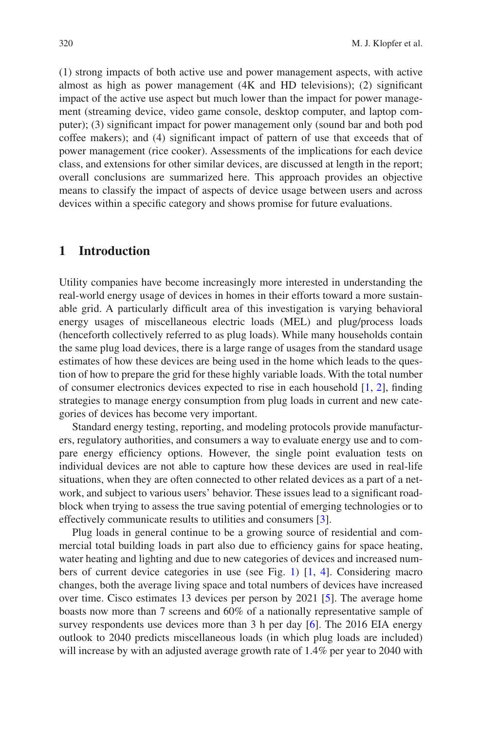(1) strong impacts of both active use and power management aspects, with active almost as high as power management (4K and HD televisions); (2) signifcant impact of the active use aspect but much lower than the impact for power management (streaming device, video game console, desktop computer, and laptop computer); (3) signifcant impact for power management only (sound bar and both pod coffee makers); and (4) signifcant impact of pattern of use that exceeds that of power management (rice cooker). Assessments of the implications for each device class, and extensions for other similar devices, are discussed at length in the report; overall conclusions are summarized here. This approach provides an objective means to classify the impact of aspects of device usage between users and across devices within a specifc category and shows promise for future evaluations.

### **1 Introduction**

Utility companies have become increasingly more interested in understanding the real-world energy usage of devices in homes in their efforts toward a more sustainable grid. A particularly diffcult area of this investigation is varying behavioral energy usages of miscellaneous electric loads (MEL) and plug/process loads (henceforth collectively referred to as plug loads). While many households contain the same plug load devices, there is a large range of usages from the standard usage estimates of how these devices are being used in the home which leads to the question of how to prepare the grid for these highly variable loads. With the total number of consumer electronics devices expected to rise in each household  $[1, 2]$  $[1, 2]$  $[1, 2]$  $[1, 2]$  $[1, 2]$ , finding strategies to manage energy consumption from plug loads in current and new categories of devices has become very important.

Standard energy testing, reporting, and modeling protocols provide manufacturers, regulatory authorities, and consumers a way to evaluate energy use and to compare energy efficiency options. However, the single point evaluation tests on individual devices are not able to capture how these devices are used in real-life situations, when they are often connected to other related devices as a part of a network, and subject to various users' behavior. These issues lead to a signifcant roadblock when trying to assess the true saving potential of emerging technologies or to effectively communicate results to utilities and consumers [[3\]](#page-24-2).

Plug loads in general continue to be a growing source of residential and commercial total building loads in part also due to effciency gains for space heating, water heating and lighting and due to new categories of devices and increased numbers of current device categories in use (see Fig. [1\)](#page-2-0) [[1,](#page-24-0) [4](#page-24-3)]. Considering macro changes, both the average living space and total numbers of devices have increased over time. Cisco estimates 13 devices per person by 2021 [[5\]](#page-24-4). The average home boasts now more than 7 screens and 60% of a nationally representative sample of survey respondents use devices more than 3 h per day [\[6](#page-24-5)]. The 2016 EIA energy outlook to 2040 predicts miscellaneous loads (in which plug loads are included) will increase by with an adjusted average growth rate of 1.4% per year to 2040 with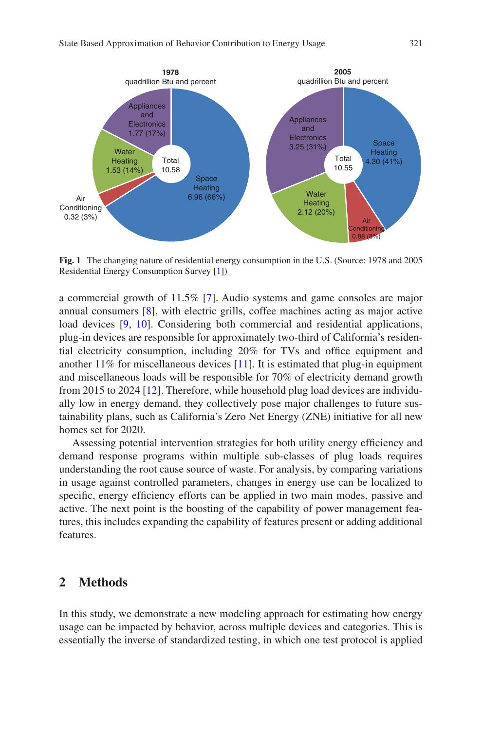<span id="page-2-0"></span>

**Fig. 1** The changing nature of residential energy consumption in the U.S. (Source: 1978 and 2005 Residential Energy Consumption Survey [\[1\]](#page-24-0))

a commercial growth of 11.5% [\[7](#page-24-6)]. Audio systems and game consoles are major annual consumers [\[8](#page-25-0)], with electric grills, coffee machines acting as major active load devices [\[9](#page-25-1), [10](#page-25-2)]. Considering both commercial and residential applications, plug-in devices are responsible for approximately two-third of California's residential electricity consumption, including 20% for TVs and offce equipment and another  $11\%$  for miscellaneous devices [[11\]](#page-25-3). It is estimated that plug-in equipment and miscellaneous loads will be responsible for 70% of electricity demand growth from 2015 to 2024 [\[12](#page-25-4)]. Therefore, while household plug load devices are individually low in energy demand, they collectively pose major challenges to future sustainability plans, such as California's Zero Net Energy (ZNE) initiative for all new homes set for 2020.

Assessing potential intervention strategies for both utility energy efficiency and demand response programs within multiple sub-classes of plug loads requires understanding the root cause source of waste. For analysis, by comparing variations in usage against controlled parameters, changes in energy use can be localized to specific, energy efficiency efforts can be applied in two main modes, passive and active. The next point is the boosting of the capability of power management features, this includes expanding the capability of features present or adding additional features.

### **2 Methods**

In this study, we demonstrate a new modeling approach for estimating how energy usage can be impacted by behavior, across multiple devices and categories. This is essentially the inverse of standardized testing, in which one test protocol is applied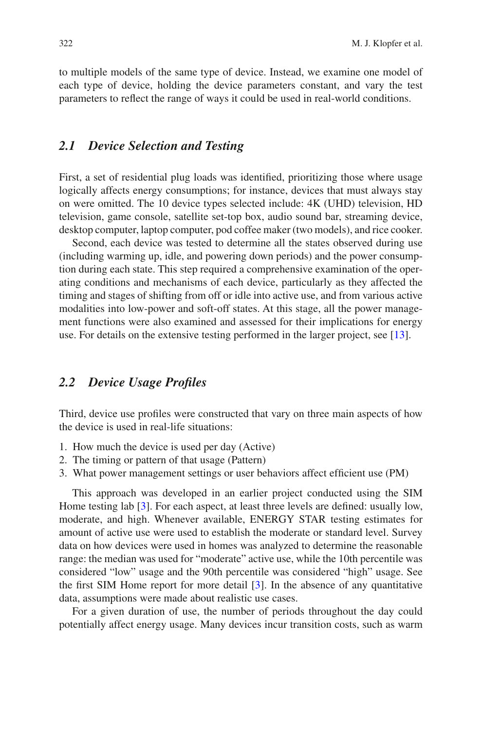to multiple models of the same type of device. Instead, we examine one model of each type of device, holding the device parameters constant, and vary the test parameters to refect the range of ways it could be used in real-world conditions.

### *2.1 Device Selection and Testing*

First, a set of residential plug loads was identifed, prioritizing those where usage logically affects energy consumptions; for instance, devices that must always stay on were omitted. The 10 device types selected include: 4K (UHD) television, HD television, game console, satellite set-top box, audio sound bar, streaming device, desktop computer, laptop computer, pod coffee maker (two models), and rice cooker.

Second, each device was tested to determine all the states observed during use (including warming up, idle, and powering down periods) and the power consumption during each state. This step required a comprehensive examination of the operating conditions and mechanisms of each device, particularly as they affected the timing and stages of shifting from off or idle into active use, and from various active modalities into low-power and soft-off states. At this stage, all the power management functions were also examined and assessed for their implications for energy use. For details on the extensive testing performed in the larger project, see [\[13](#page-25-5)].

### *2.2 Device Usage Profles*

Third, device use profles were constructed that vary on three main aspects of how the device is used in real-life situations:

- 1. How much the device is used per day (Active)
- 2. The timing or pattern of that usage (Pattern)
- 3. What power management settings or user behaviors affect effcient use (PM)

This approach was developed in an earlier project conducted using the SIM Home testing lab [\[3](#page-24-2)]. For each aspect, at least three levels are defned: usually low, moderate, and high. Whenever available, ENERGY STAR testing estimates for amount of active use were used to establish the moderate or standard level. Survey data on how devices were used in homes was analyzed to determine the reasonable range: the median was used for "moderate" active use, while the 10th percentile was considered "low" usage and the 90th percentile was considered "high" usage. See the frst SIM Home report for more detail [[3\]](#page-24-2). In the absence of any quantitative data, assumptions were made about realistic use cases.

For a given duration of use, the number of periods throughout the day could potentially affect energy usage. Many devices incur transition costs, such as warm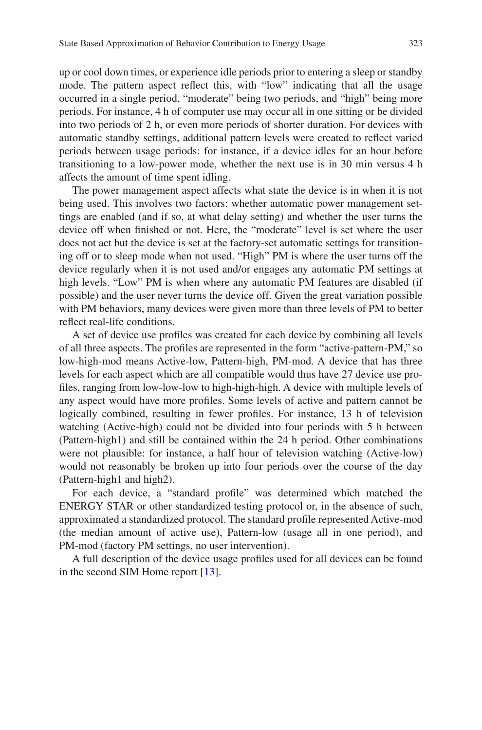up or cool down times, or experience idle periods prior to entering a sleep or standby mode. The pattern aspect refect this, with "low" indicating that all the usage occurred in a single period, "moderate" being two periods, and "high" being more periods. For instance, 4 h of computer use may occur all in one sitting or be divided into two periods of 2 h, or even more periods of shorter duration. For devices with automatic standby settings, additional pattern levels were created to refect varied periods between usage periods: for instance, if a device idles for an hour before transitioning to a low-power mode, whether the next use is in 30 min versus 4 h affects the amount of time spent idling.

The power management aspect affects what state the device is in when it is not being used. This involves two factors: whether automatic power management settings are enabled (and if so, at what delay setting) and whether the user turns the device off when fnished or not. Here, the "moderate" level is set where the user does not act but the device is set at the factory-set automatic settings for transitioning off or to sleep mode when not used. "High" PM is where the user turns off the device regularly when it is not used and/or engages any automatic PM settings at high levels. "Low" PM is when where any automatic PM features are disabled (if possible) and the user never turns the device off. Given the great variation possible with PM behaviors, many devices were given more than three levels of PM to better refect real-life conditions.

A set of device use profles was created for each device by combining all levels of all three aspects. The profles are represented in the form "active-pattern-PM," so low-high-mod means Active-low, Pattern-high, PM-mod. A device that has three levels for each aspect which are all compatible would thus have 27 device use profles, ranging from low-low-low to high-high-high. A device with multiple levels of any aspect would have more profles. Some levels of active and pattern cannot be logically combined, resulting in fewer profles. For instance, 13 h of television watching (Active-high) could not be divided into four periods with 5 h between (Pattern-high1) and still be contained within the 24 h period. Other combinations were not plausible: for instance, a half hour of television watching (Active-low) would not reasonably be broken up into four periods over the course of the day (Pattern-high1 and high2).

For each device, a "standard profle" was determined which matched the ENERGY STAR or other standardized testing protocol or, in the absence of such, approximated a standardized protocol. The standard profle represented Active-mod (the median amount of active use), Pattern-low (usage all in one period), and PM-mod (factory PM settings, no user intervention).

A full description of the device usage profles used for all devices can be found in the second SIM Home report [\[13](#page-25-5)].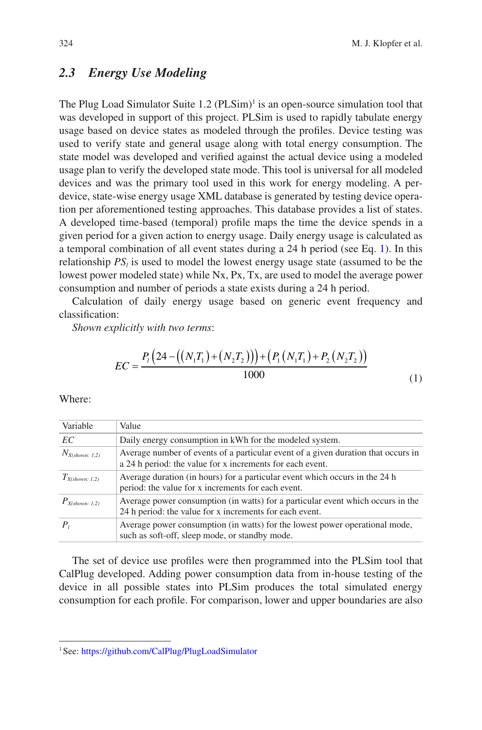### *2.3 Energy Use Modeling*

The Plug Load Simulator Suite  $1.2 \, (PLSim)^1$  is an open-source simulation tool that was developed in support of this project. PLSim is used to rapidly tabulate energy usage based on device states as modeled through the profles. Device testing was used to verify state and general usage along with total energy consumption. The state model was developed and verifed against the actual device using a modeled usage plan to verify the developed state mode. This tool is universal for all modeled devices and was the primary tool used in this work for energy modeling. A perdevice, state-wise energy usage XML database is generated by testing device operation per aforementioned testing approaches. This database provides a list of states. A developed time-based (temporal) profle maps the time the device spends in a given period for a given action to energy usage. Daily energy usage is calculated as a temporal combination of all event states during a 24 h period (see Eq. [1](#page-5-0)). In this relationship  $PS_l$  is used to model the lowest energy usage state (assumed to be the lowest power modeled state) while Nx, Px, Tx, are used to model the average power consumption and number of periods a state exists during a 24 h period.

Calculation of daily energy usage based on generic event frequency and classifcation:

*Shown explicitly with two terms*:

$$
EC = \frac{P_i\left(24 - \left(\left(N_1T_1\right) + \left(N_2T_2\right)\right)\right) + \left(P_1\left(N_1T_1\right) + P_2\left(N_2T_2\right)\right)}{1000} \tag{1}
$$

<span id="page-5-0"></span>Where:

| Variable            | Value                                                                                                                                          |
|---------------------|------------------------------------------------------------------------------------------------------------------------------------------------|
| EC                  | Daily energy consumption in kWh for the modeled system.                                                                                        |
| $N_{X(shown: 1,2)}$ | Average number of events of a particular event of a given duration that occurs in<br>a 24 h period: the value for x increments for each event. |
| $T_{X(shown: 1,2)}$ | Average duration (in hours) for a particular event which occurs in the 24 h<br>period: the value for x increments for each event.              |
| $P_{X(shown: 1,2)}$ | Average power consumption (in watts) for a particular event which occurs in the<br>24 h period: the value for x increments for each event.     |
|                     | Average power consumption (in watts) for the lowest power operational mode,<br>such as soft-off, sleep mode, or standby mode.                  |

The set of device use profles were then programmed into the PLSim tool that CalPlug developed. Adding power consumption data from in-house testing of the device in all possible states into PLSim produces the total simulated energy consumption for each profle. For comparison, lower and upper boundaries are also

<sup>1</sup>See:<https://github.com/CalPlug/PlugLoadSimulator>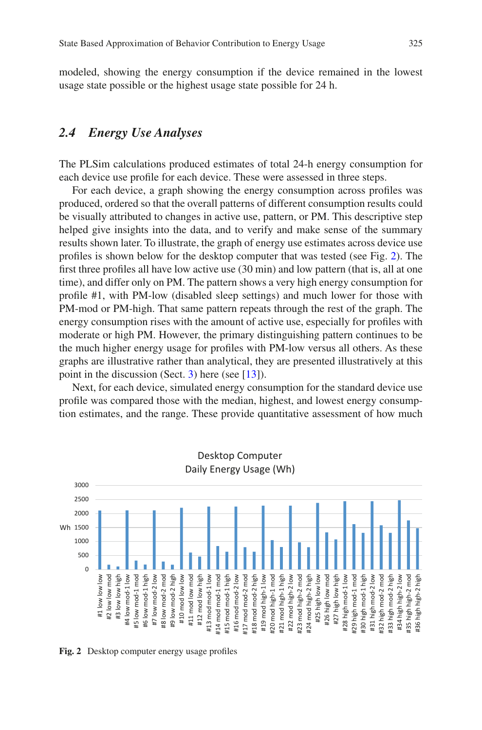modeled, showing the energy consumption if the device remained in the lowest usage state possible or the highest usage state possible for 24 h.

### *2.4 Energy Use Analyses*

The PLSim calculations produced estimates of total 24-h energy consumption for each device use profle for each device. These were assessed in three steps.

For each device, a graph showing the energy consumption across profles was produced, ordered so that the overall patterns of different consumption results could be visually attributed to changes in active use, pattern, or PM. This descriptive step helped give insights into the data, and to verify and make sense of the summary results shown later. To illustrate, the graph of energy use estimates across device use profles is shown below for the desktop computer that was tested (see Fig. [2](#page-6-0)). The frst three profles all have low active use (30 min) and low pattern (that is, all at one time), and differ only on PM. The pattern shows a very high energy consumption for profle #1, with PM-low (disabled sleep settings) and much lower for those with PM-mod or PM-high. That same pattern repeats through the rest of the graph. The energy consumption rises with the amount of active use, especially for profles with moderate or high PM. However, the primary distinguishing pattern continues to be the much higher energy usage for profles with PM-low versus all others. As these graphs are illustrative rather than analytical, they are presented illustratively at this point in the discussion (Sect. [3\)](#page-7-0) here (see [\[13](#page-25-5)]).

Next, for each device, simulated energy consumption for the standard device use profle was compared those with the median, highest, and lowest energy consumption estimates, and the range. These provide quantitative assessment of how much

<span id="page-6-0"></span>

**Fig. 2** Desktop computer energy usage profles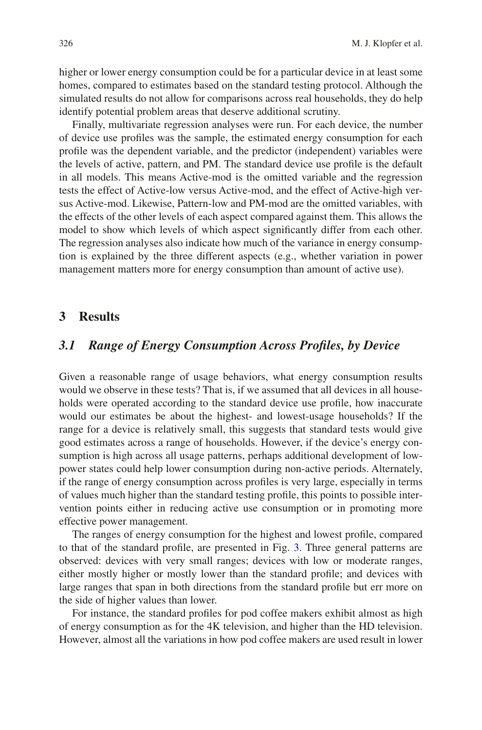higher or lower energy consumption could be for a particular device in at least some homes, compared to estimates based on the standard testing protocol. Although the simulated results do not allow for comparisons across real households, they do help identify potential problem areas that deserve additional scrutiny.

Finally, multivariate regression analyses were run. For each device, the number of device use profles was the sample, the estimated energy consumption for each profle was the dependent variable, and the predictor (independent) variables were the levels of active, pattern, and PM. The standard device use profle is the default in all models. This means Active-mod is the omitted variable and the regression tests the effect of Active-low versus Active-mod, and the effect of Active-high versus Active-mod. Likewise, Pattern-low and PM-mod are the omitted variables, with the effects of the other levels of each aspect compared against them. This allows the model to show which levels of which aspect signifcantly differ from each other. The regression analyses also indicate how much of the variance in energy consumption is explained by the three different aspects (e.g., whether variation in power management matters more for energy consumption than amount of active use).

### <span id="page-7-0"></span>**3 Results**

### *3.1 Range of Energy Consumption Across Profles, by Device*

Given a reasonable range of usage behaviors, what energy consumption results would we observe in these tests? That is, if we assumed that all devices in all households were operated according to the standard device use profle, how inaccurate would our estimates be about the highest- and lowest-usage households? If the range for a device is relatively small, this suggests that standard tests would give good estimates across a range of households. However, if the device's energy consumption is high across all usage patterns, perhaps additional development of lowpower states could help lower consumption during non-active periods. Alternately, if the range of energy consumption across profles is very large, especially in terms of values much higher than the standard testing profle, this points to possible intervention points either in reducing active use consumption or in promoting more effective power management.

The ranges of energy consumption for the highest and lowest profle, compared to that of the standard profle, are presented in Fig. [3.](#page-8-0) Three general patterns are observed: devices with very small ranges; devices with low or moderate ranges, either mostly higher or mostly lower than the standard profle; and devices with large ranges that span in both directions from the standard profle but err more on the side of higher values than lower.

For instance, the standard profles for pod coffee makers exhibit almost as high of energy consumption as for the 4K television, and higher than the HD television. However, almost all the variations in how pod coffee makers are used result in lower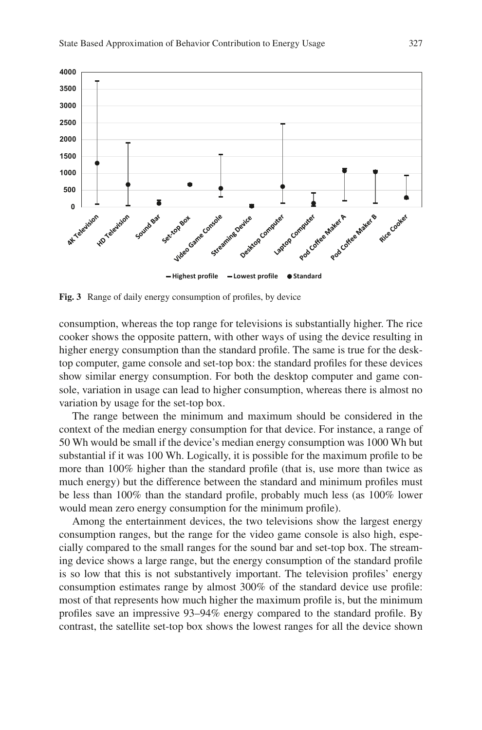<span id="page-8-0"></span>

**Fig. 3** Range of daily energy consumption of profles, by device

consumption, whereas the top range for televisions is substantially higher. The rice cooker shows the opposite pattern, with other ways of using the device resulting in higher energy consumption than the standard profle. The same is true for the desktop computer, game console and set-top box: the standard profles for these devices show similar energy consumption. For both the desktop computer and game console, variation in usage can lead to higher consumption, whereas there is almost no variation by usage for the set-top box.

The range between the minimum and maximum should be considered in the context of the median energy consumption for that device. For instance, a range of 50 Wh would be small if the device's median energy consumption was 1000 Wh but substantial if it was 100 Wh. Logically, it is possible for the maximum profle to be more than 100% higher than the standard profle (that is, use more than twice as much energy) but the difference between the standard and minimum profles must be less than 100% than the standard profle, probably much less (as 100% lower would mean zero energy consumption for the minimum profle).

Among the entertainment devices, the two televisions show the largest energy consumption ranges, but the range for the video game console is also high, especially compared to the small ranges for the sound bar and set-top box. The streaming device shows a large range, but the energy consumption of the standard profle is so low that this is not substantively important. The television profles' energy consumption estimates range by almost 300% of the standard device use profle: most of that represents how much higher the maximum profle is, but the minimum profles save an impressive 93–94% energy compared to the standard profle. By contrast, the satellite set-top box shows the lowest ranges for all the device shown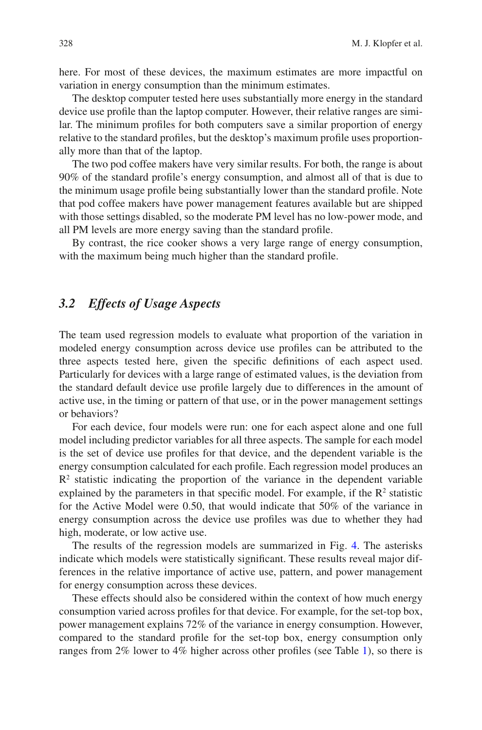here. For most of these devices, the maximum estimates are more impactful on variation in energy consumption than the minimum estimates.

The desktop computer tested here uses substantially more energy in the standard device use profle than the laptop computer. However, their relative ranges are similar. The minimum profles for both computers save a similar proportion of energy relative to the standard profles, but the desktop's maximum profle uses proportionally more than that of the laptop.

The two pod coffee makers have very similar results. For both, the range is about 90% of the standard profle's energy consumption, and almost all of that is due to the minimum usage profle being substantially lower than the standard profle. Note that pod coffee makers have power management features available but are shipped with those settings disabled, so the moderate PM level has no low-power mode, and all PM levels are more energy saving than the standard profle.

By contrast, the rice cooker shows a very large range of energy consumption, with the maximum being much higher than the standard profile.

### *3.2 Effects of Usage Aspects*

The team used regression models to evaluate what proportion of the variation in modeled energy consumption across device use profles can be attributed to the three aspects tested here, given the specifc defnitions of each aspect used. Particularly for devices with a large range of estimated values, is the deviation from the standard default device use profle largely due to differences in the amount of active use, in the timing or pattern of that use, or in the power management settings or behaviors?

For each device, four models were run: one for each aspect alone and one full model including predictor variables for all three aspects. The sample for each model is the set of device use profles for that device, and the dependent variable is the energy consumption calculated for each profle. Each regression model produces an  $R<sup>2</sup>$  statistic indicating the proportion of the variance in the dependent variable explained by the parameters in that specific model. For example, if the  $\mathbb{R}^2$  statistic for the Active Model were 0.50, that would indicate that 50% of the variance in energy consumption across the device use profles was due to whether they had high, moderate, or low active use.

The results of the regression models are summarized in Fig. [4.](#page-10-0) The asterisks indicate which models were statistically signifcant. These results reveal major differences in the relative importance of active use, pattern, and power management for energy consumption across these devices.

These effects should also be considered within the context of how much energy consumption varied across profles for that device. For example, for the set-top box, power management explains 72% of the variance in energy consumption. However, compared to the standard profle for the set-top box, energy consumption only ranges from 2% lower to 4% higher across other profles (see Table [1](#page-11-0)), so there is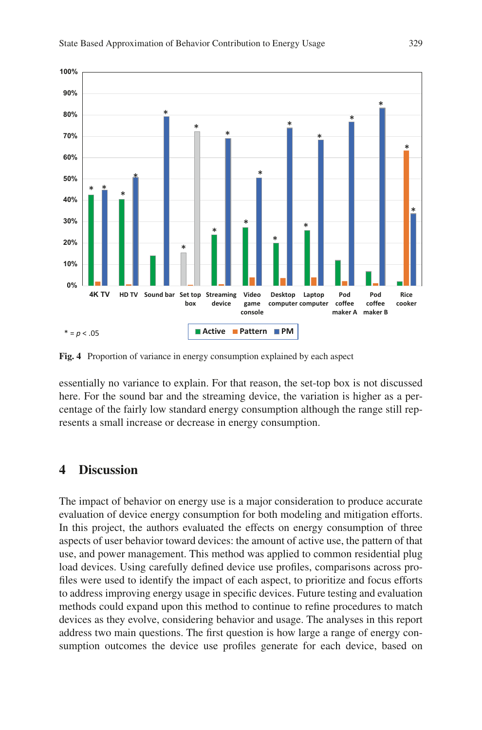<span id="page-10-0"></span>

**Fig. 4** Proportion of variance in energy consumption explained by each aspect

essentially no variance to explain. For that reason, the set-top box is not discussed here. For the sound bar and the streaming device, the variation is higher as a percentage of the fairly low standard energy consumption although the range still represents a small increase or decrease in energy consumption.

### **4 Discussion**

The impact of behavior on energy use is a major consideration to produce accurate evaluation of device energy consumption for both modeling and mitigation efforts. In this project, the authors evaluated the effects on energy consumption of three aspects of user behavior toward devices: the amount of active use, the pattern of that use, and power management. This method was applied to common residential plug load devices. Using carefully defned device use profles, comparisons across profles were used to identify the impact of each aspect, to prioritize and focus efforts to address improving energy usage in specifc devices. Future testing and evaluation methods could expand upon this method to continue to refne procedures to match devices as they evolve, considering behavior and usage. The analyses in this report address two main questions. The frst question is how large a range of energy consumption outcomes the device use profles generate for each device, based on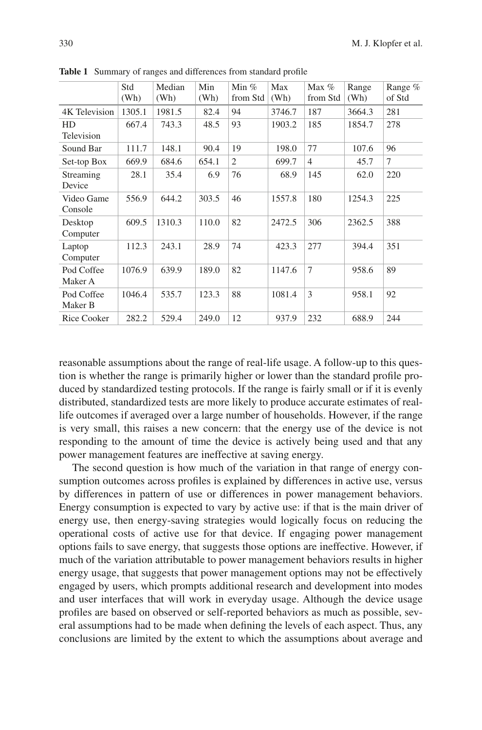|                       | Std<br>(Wh) | Median<br>(Wh) | Min<br>(Wh) | Min $%$<br>from Std | Max<br>(Wh) | Max $%$<br>from Std | Range<br>(Wh) | Range %<br>of Std |
|-----------------------|-------------|----------------|-------------|---------------------|-------------|---------------------|---------------|-------------------|
| 4K Television         | 1305.1      | 1981.5         | 82.4        | 94                  | 3746.7      | 187                 | 3664.3        | 281               |
| HD<br>Television      | 667.4       | 743.3          | 48.5        | 93                  | 1903.2      | 185                 | 1854.7        | 278               |
|                       |             |                |             |                     |             |                     |               |                   |
| Sound Bar             | 111.7       | 148.1          | 90.4        | 19                  | 198.0       | 77                  | 107.6         | 96                |
| Set-top Box           | 669.9       | 684.6          | 654.1       | 2                   | 699.7       | 4                   | 45.7          | 7                 |
| Streaming<br>Device   | 28.1        | 35.4           | 6.9         | 76                  | 68.9        | 145                 | 62.0          | 220               |
| Video Game<br>Console | 556.9       | 644.2          | 303.5       | 46                  | 1557.8      | 180                 | 1254.3        | 225               |
| Desktop<br>Computer   | 609.5       | 1310.3         | 110.0       | 82                  | 2472.5      | 306                 | 2362.5        | 388               |
| Laptop<br>Computer    | 112.3       | 243.1          | 28.9        | 74                  | 423.3       | 277                 | 394.4         | 351               |
| Pod Coffee<br>Maker A | 1076.9      | 639.9          | 189.0       | 82                  | 1147.6      | 7                   | 958.6         | 89                |
| Pod Coffee<br>Maker B | 1046.4      | 535.7          | 123.3       | 88                  | 1081.4      | 3                   | 958.1         | 92                |
| Rice Cooker           | 282.2       | 529.4          | 249.0       | 12                  | 937.9       | 232                 | 688.9         | 244               |

<span id="page-11-0"></span>**Table 1** Summary of ranges and differences from standard profle

reasonable assumptions about the range of real-life usage. A follow-up to this question is whether the range is primarily higher or lower than the standard profle produced by standardized testing protocols. If the range is fairly small or if it is evenly distributed, standardized tests are more likely to produce accurate estimates of reallife outcomes if averaged over a large number of households. However, if the range is very small, this raises a new concern: that the energy use of the device is not responding to the amount of time the device is actively being used and that any power management features are ineffective at saving energy.

The second question is how much of the variation in that range of energy consumption outcomes across profles is explained by differences in active use, versus by differences in pattern of use or differences in power management behaviors. Energy consumption is expected to vary by active use: if that is the main driver of energy use, then energy-saving strategies would logically focus on reducing the operational costs of active use for that device. If engaging power management options fails to save energy, that suggests those options are ineffective. However, if much of the variation attributable to power management behaviors results in higher energy usage, that suggests that power management options may not be effectively engaged by users, which prompts additional research and development into modes and user interfaces that will work in everyday usage. Although the device usage profles are based on observed or self-reported behaviors as much as possible, several assumptions had to be made when defning the levels of each aspect. Thus, any conclusions are limited by the extent to which the assumptions about average and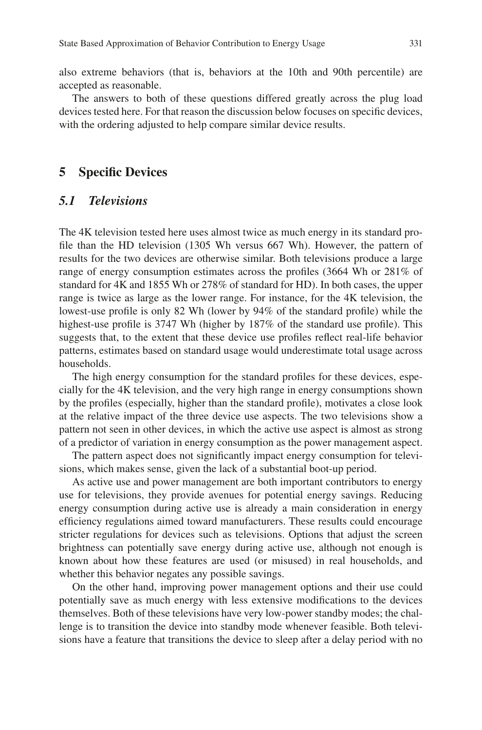also extreme behaviors (that is, behaviors at the 10th and 90th percentile) are accepted as reasonable.

The answers to both of these questions differed greatly across the plug load devices tested here. For that reason the discussion below focuses on specifc devices, with the ordering adjusted to help compare similar device results.

### **5 Specifc Devices**

### *5.1 Televisions*

The 4K television tested here uses almost twice as much energy in its standard profle than the HD television (1305 Wh versus 667 Wh). However, the pattern of results for the two devices are otherwise similar. Both televisions produce a large range of energy consumption estimates across the profles (3664 Wh or 281% of standard for 4K and 1855 Wh or 278% of standard for HD). In both cases, the upper range is twice as large as the lower range. For instance, for the 4K television, the lowest-use profle is only 82 Wh (lower by 94% of the standard profle) while the highest-use profle is 3747 Wh (higher by 187% of the standard use profle). This suggests that, to the extent that these device use profles refect real-life behavior patterns, estimates based on standard usage would underestimate total usage across households.

The high energy consumption for the standard profles for these devices, especially for the 4K television, and the very high range in energy consumptions shown by the profles (especially, higher than the standard profle), motivates a close look at the relative impact of the three device use aspects. The two televisions show a pattern not seen in other devices, in which the active use aspect is almost as strong of a predictor of variation in energy consumption as the power management aspect.

The pattern aspect does not signifcantly impact energy consumption for televisions, which makes sense, given the lack of a substantial boot-up period.

As active use and power management are both important contributors to energy use for televisions, they provide avenues for potential energy savings. Reducing energy consumption during active use is already a main consideration in energy effciency regulations aimed toward manufacturers. These results could encourage stricter regulations for devices such as televisions. Options that adjust the screen brightness can potentially save energy during active use, although not enough is known about how these features are used (or misused) in real households, and whether this behavior negates any possible savings.

On the other hand, improving power management options and their use could potentially save as much energy with less extensive modifcations to the devices themselves. Both of these televisions have very low-power standby modes; the challenge is to transition the device into standby mode whenever feasible. Both televisions have a feature that transitions the device to sleep after a delay period with no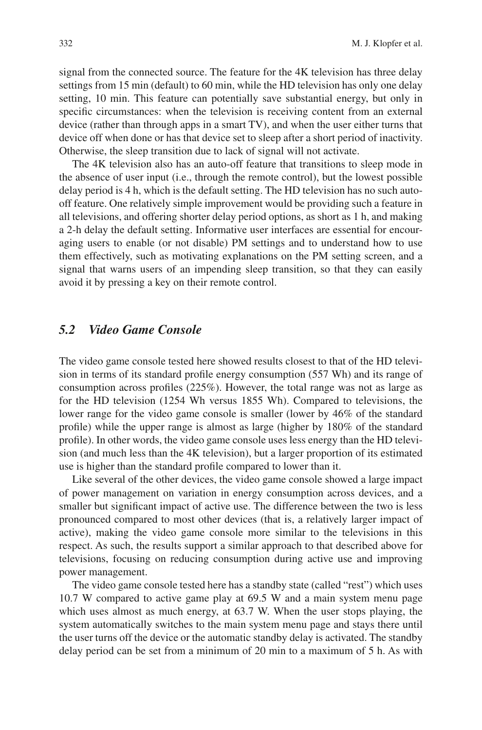signal from the connected source. The feature for the 4K television has three delay settings from 15 min (default) to 60 min, while the HD television has only one delay setting, 10 min. This feature can potentially save substantial energy, but only in specifc circumstances: when the television is receiving content from an external device (rather than through apps in a smart TV), and when the user either turns that device off when done or has that device set to sleep after a short period of inactivity. Otherwise, the sleep transition due to lack of signal will not activate.

The 4K television also has an auto-off feature that transitions to sleep mode in the absence of user input (i.e., through the remote control), but the lowest possible delay period is 4 h, which is the default setting. The HD television has no such autooff feature. One relatively simple improvement would be providing such a feature in all televisions, and offering shorter delay period options, as short as 1 h, and making a 2-h delay the default setting. Informative user interfaces are essential for encouraging users to enable (or not disable) PM settings and to understand how to use them effectively, such as motivating explanations on the PM setting screen, and a signal that warns users of an impending sleep transition, so that they can easily avoid it by pressing a key on their remote control.

### *5.2 Video Game Console*

The video game console tested here showed results closest to that of the HD television in terms of its standard profle energy consumption (557 Wh) and its range of consumption across profles (225%). However, the total range was not as large as for the HD television (1254 Wh versus 1855 Wh). Compared to televisions, the lower range for the video game console is smaller (lower by 46% of the standard profle) while the upper range is almost as large (higher by 180% of the standard profle). In other words, the video game console uses less energy than the HD television (and much less than the 4K television), but a larger proportion of its estimated use is higher than the standard profle compared to lower than it.

Like several of the other devices, the video game console showed a large impact of power management on variation in energy consumption across devices, and a smaller but signifcant impact of active use. The difference between the two is less pronounced compared to most other devices (that is, a relatively larger impact of active), making the video game console more similar to the televisions in this respect. As such, the results support a similar approach to that described above for televisions, focusing on reducing consumption during active use and improving power management.

The video game console tested here has a standby state (called "rest") which uses 10.7 W compared to active game play at 69.5 W and a main system menu page which uses almost as much energy, at 63.7 W. When the user stops playing, the system automatically switches to the main system menu page and stays there until the user turns off the device or the automatic standby delay is activated. The standby delay period can be set from a minimum of 20 min to a maximum of 5 h. As with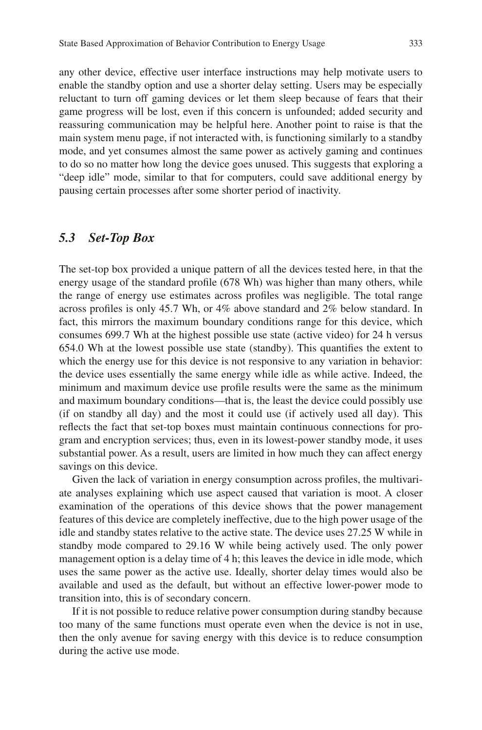any other device, effective user interface instructions may help motivate users to enable the standby option and use a shorter delay setting. Users may be especially reluctant to turn off gaming devices or let them sleep because of fears that their game progress will be lost, even if this concern is unfounded; added security and reassuring communication may be helpful here. Another point to raise is that the main system menu page, if not interacted with, is functioning similarly to a standby mode, and yet consumes almost the same power as actively gaming and continues to do so no matter how long the device goes unused. This suggests that exploring a "deep idle" mode, similar to that for computers, could save additional energy by pausing certain processes after some shorter period of inactivity.

#### *5.3 Set-Top Box*

The set-top box provided a unique pattern of all the devices tested here, in that the energy usage of the standard profle (678 Wh) was higher than many others, while the range of energy use estimates across profles was negligible. The total range across profles is only 45.7 Wh, or 4% above standard and 2% below standard. In fact, this mirrors the maximum boundary conditions range for this device, which consumes 699.7 Wh at the highest possible use state (active video) for 24 h versus 654.0 Wh at the lowest possible use state (standby). This quantifes the extent to which the energy use for this device is not responsive to any variation in behavior: the device uses essentially the same energy while idle as while active. Indeed, the minimum and maximum device use profle results were the same as the minimum and maximum boundary conditions—that is, the least the device could possibly use (if on standby all day) and the most it could use (if actively used all day). This refects the fact that set-top boxes must maintain continuous connections for program and encryption services; thus, even in its lowest-power standby mode, it uses substantial power. As a result, users are limited in how much they can affect energy savings on this device.

Given the lack of variation in energy consumption across profles, the multivariate analyses explaining which use aspect caused that variation is moot. A closer examination of the operations of this device shows that the power management features of this device are completely ineffective, due to the high power usage of the idle and standby states relative to the active state. The device uses 27.25 W while in standby mode compared to 29.16 W while being actively used. The only power management option is a delay time of 4 h; this leaves the device in idle mode, which uses the same power as the active use. Ideally, shorter delay times would also be available and used as the default, but without an effective lower-power mode to transition into, this is of secondary concern.

If it is not possible to reduce relative power consumption during standby because too many of the same functions must operate even when the device is not in use, then the only avenue for saving energy with this device is to reduce consumption during the active use mode.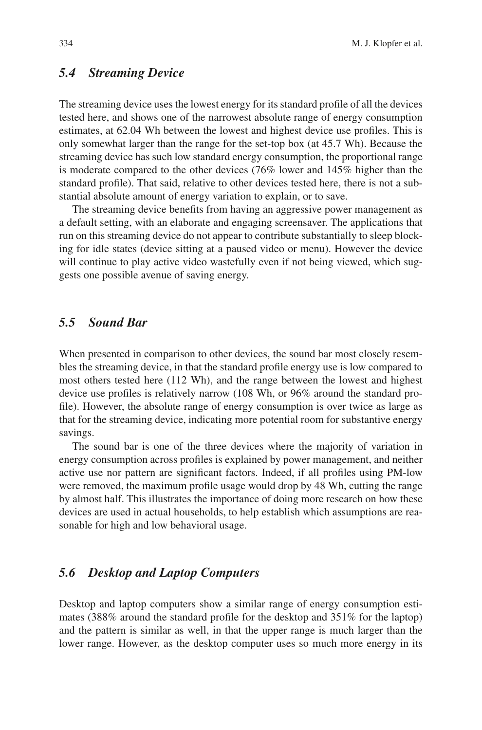### *5.4 Streaming Device*

The streaming device uses the lowest energy for its standard profle of all the devices tested here, and shows one of the narrowest absolute range of energy consumption estimates, at 62.04 Wh between the lowest and highest device use profles. This is only somewhat larger than the range for the set-top box (at 45.7 Wh). Because the streaming device has such low standard energy consumption, the proportional range is moderate compared to the other devices (76% lower and 145% higher than the standard profle). That said, relative to other devices tested here, there is not a substantial absolute amount of energy variation to explain, or to save.

The streaming device benefts from having an aggressive power management as a default setting, with an elaborate and engaging screensaver. The applications that run on this streaming device do not appear to contribute substantially to sleep blocking for idle states (device sitting at a paused video or menu). However the device will continue to play active video wastefully even if not being viewed, which suggests one possible avenue of saving energy.

### *5.5 Sound Bar*

When presented in comparison to other devices, the sound bar most closely resembles the streaming device, in that the standard profle energy use is low compared to most others tested here (112 Wh), and the range between the lowest and highest device use profles is relatively narrow (108 Wh, or 96% around the standard profle). However, the absolute range of energy consumption is over twice as large as that for the streaming device, indicating more potential room for substantive energy savings.

The sound bar is one of the three devices where the majority of variation in energy consumption across profles is explained by power management, and neither active use nor pattern are signifcant factors. Indeed, if all profles using PM-low were removed, the maximum profle usage would drop by 48 Wh, cutting the range by almost half. This illustrates the importance of doing more research on how these devices are used in actual households, to help establish which assumptions are reasonable for high and low behavioral usage.

# *5.6 Desktop and Laptop Computers*

Desktop and laptop computers show a similar range of energy consumption estimates (388% around the standard profle for the desktop and 351% for the laptop) and the pattern is similar as well, in that the upper range is much larger than the lower range. However, as the desktop computer uses so much more energy in its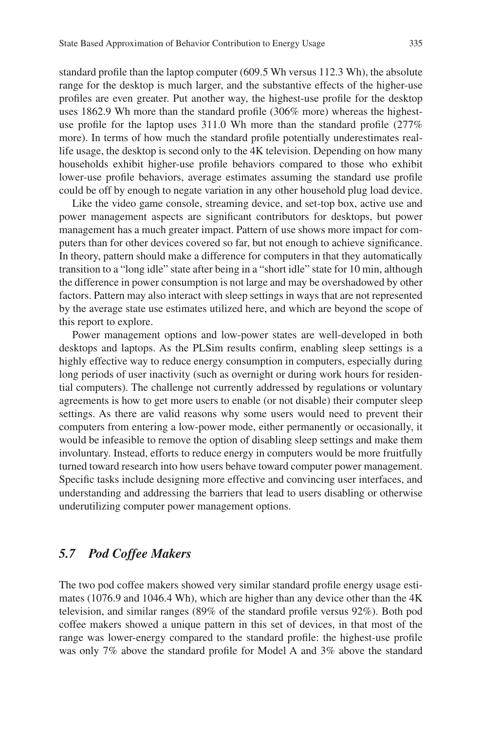standard profle than the laptop computer (609.5 Wh versus 112.3 Wh), the absolute range for the desktop is much larger, and the substantive effects of the higher-use profles are even greater. Put another way, the highest-use profle for the desktop uses 1862.9 Wh more than the standard profle (306% more) whereas the highestuse profle for the laptop uses 311.0 Wh more than the standard profle (277% more). In terms of how much the standard profle potentially underestimates reallife usage, the desktop is second only to the 4K television. Depending on how many households exhibit higher-use profle behaviors compared to those who exhibit lower-use profle behaviors, average estimates assuming the standard use profle could be off by enough to negate variation in any other household plug load device.

Like the video game console, streaming device, and set-top box, active use and power management aspects are signifcant contributors for desktops, but power management has a much greater impact. Pattern of use shows more impact for computers than for other devices covered so far, but not enough to achieve signifcance. In theory, pattern should make a difference for computers in that they automatically transition to a "long idle" state after being in a "short idle" state for 10 min, although the difference in power consumption is not large and may be overshadowed by other factors. Pattern may also interact with sleep settings in ways that are not represented by the average state use estimates utilized here, and which are beyond the scope of this report to explore.

Power management options and low-power states are well-developed in both desktops and laptops. As the PLSim results confrm, enabling sleep settings is a highly effective way to reduce energy consumption in computers, especially during long periods of user inactivity (such as overnight or during work hours for residential computers). The challenge not currently addressed by regulations or voluntary agreements is how to get more users to enable (or not disable) their computer sleep settings. As there are valid reasons why some users would need to prevent their computers from entering a low-power mode, either permanently or occasionally, it would be infeasible to remove the option of disabling sleep settings and make them involuntary. Instead, efforts to reduce energy in computers would be more fruitfully turned toward research into how users behave toward computer power management. Specifc tasks include designing more effective and convincing user interfaces, and understanding and addressing the barriers that lead to users disabling or otherwise underutilizing computer power management options.

### *5.7 Pod Coffee Makers*

The two pod coffee makers showed very similar standard profle energy usage estimates (1076.9 and 1046.4 Wh), which are higher than any device other than the 4K television, and similar ranges (89% of the standard profle versus 92%). Both pod coffee makers showed a unique pattern in this set of devices, in that most of the range was lower-energy compared to the standard profle: the highest-use profle was only 7% above the standard profle for Model A and 3% above the standard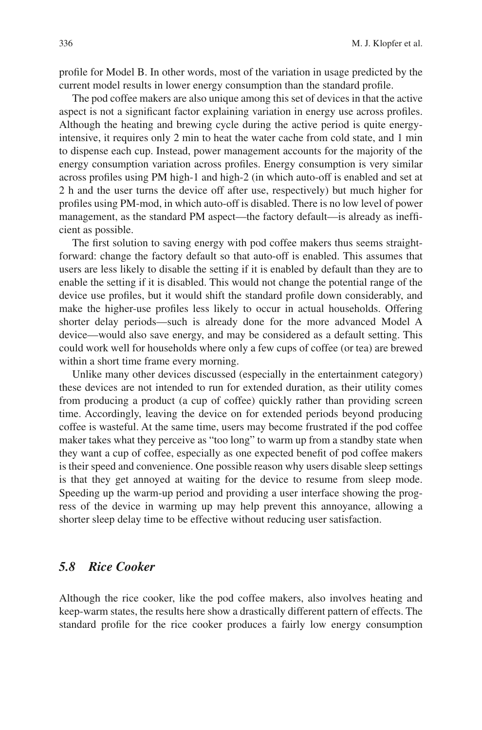profle for Model B. In other words, most of the variation in usage predicted by the current model results in lower energy consumption than the standard profle.

The pod coffee makers are also unique among this set of devices in that the active aspect is not a signifcant factor explaining variation in energy use across profles. Although the heating and brewing cycle during the active period is quite energyintensive, it requires only 2 min to heat the water cache from cold state, and 1 min to dispense each cup. Instead, power management accounts for the majority of the energy consumption variation across profles. Energy consumption is very similar across profles using PM high-1 and high-2 (in which auto-off is enabled and set at 2 h and the user turns the device off after use, respectively) but much higher for profles using PM-mod, in which auto-off is disabled. There is no low level of power management, as the standard PM aspect—the factory default—is already as ineffcient as possible.

The first solution to saving energy with pod coffee makers thus seems straightforward: change the factory default so that auto-off is enabled. This assumes that users are less likely to disable the setting if it is enabled by default than they are to enable the setting if it is disabled. This would not change the potential range of the device use profles, but it would shift the standard profle down considerably, and make the higher-use profles less likely to occur in actual households. Offering shorter delay periods—such is already done for the more advanced Model A device—would also save energy, and may be considered as a default setting. This could work well for households where only a few cups of coffee (or tea) are brewed within a short time frame every morning.

Unlike many other devices discussed (especially in the entertainment category) these devices are not intended to run for extended duration, as their utility comes from producing a product (a cup of coffee) quickly rather than providing screen time. Accordingly, leaving the device on for extended periods beyond producing coffee is wasteful. At the same time, users may become frustrated if the pod coffee maker takes what they perceive as "too long" to warm up from a standby state when they want a cup of coffee, especially as one expected beneft of pod coffee makers is their speed and convenience. One possible reason why users disable sleep settings is that they get annoyed at waiting for the device to resume from sleep mode. Speeding up the warm-up period and providing a user interface showing the progress of the device in warming up may help prevent this annoyance, allowing a shorter sleep delay time to be effective without reducing user satisfaction.

### *5.8 Rice Cooker*

Although the rice cooker, like the pod coffee makers, also involves heating and keep-warm states, the results here show a drastically different pattern of effects. The standard profle for the rice cooker produces a fairly low energy consumption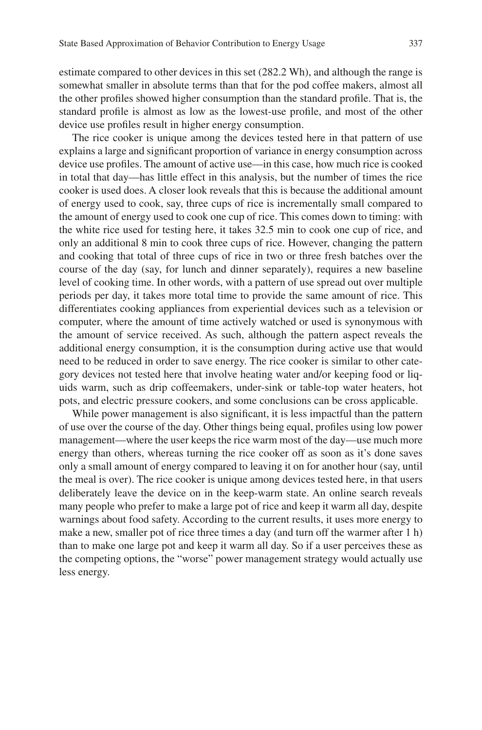estimate compared to other devices in this set (282.2 Wh), and although the range is somewhat smaller in absolute terms than that for the pod coffee makers, almost all the other profles showed higher consumption than the standard profle. That is, the standard profle is almost as low as the lowest-use profle, and most of the other device use profles result in higher energy consumption.

The rice cooker is unique among the devices tested here in that pattern of use explains a large and signifcant proportion of variance in energy consumption across device use profles. The amount of active use—in this case, how much rice is cooked in total that day—has little effect in this analysis, but the number of times the rice cooker is used does. A closer look reveals that this is because the additional amount of energy used to cook, say, three cups of rice is incrementally small compared to the amount of energy used to cook one cup of rice. This comes down to timing: with the white rice used for testing here, it takes 32.5 min to cook one cup of rice, and only an additional 8 min to cook three cups of rice. However, changing the pattern and cooking that total of three cups of rice in two or three fresh batches over the course of the day (say, for lunch and dinner separately), requires a new baseline level of cooking time. In other words, with a pattern of use spread out over multiple periods per day, it takes more total time to provide the same amount of rice. This differentiates cooking appliances from experiential devices such as a television or computer, where the amount of time actively watched or used is synonymous with the amount of service received. As such, although the pattern aspect reveals the additional energy consumption, it is the consumption during active use that would need to be reduced in order to save energy. The rice cooker is similar to other category devices not tested here that involve heating water and/or keeping food or liquids warm, such as drip coffeemakers, under-sink or table-top water heaters, hot pots, and electric pressure cookers, and some conclusions can be cross applicable.

While power management is also significant, it is less impactful than the pattern of use over the course of the day. Other things being equal, profles using low power management—where the user keeps the rice warm most of the day—use much more energy than others, whereas turning the rice cooker off as soon as it's done saves only a small amount of energy compared to leaving it on for another hour (say, until the meal is over). The rice cooker is unique among devices tested here, in that users deliberately leave the device on in the keep-warm state. An online search reveals many people who prefer to make a large pot of rice and keep it warm all day, despite warnings about food safety. According to the current results, it uses more energy to make a new, smaller pot of rice three times a day (and turn off the warmer after 1 h) than to make one large pot and keep it warm all day. So if a user perceives these as the competing options, the "worse" power management strategy would actually use less energy.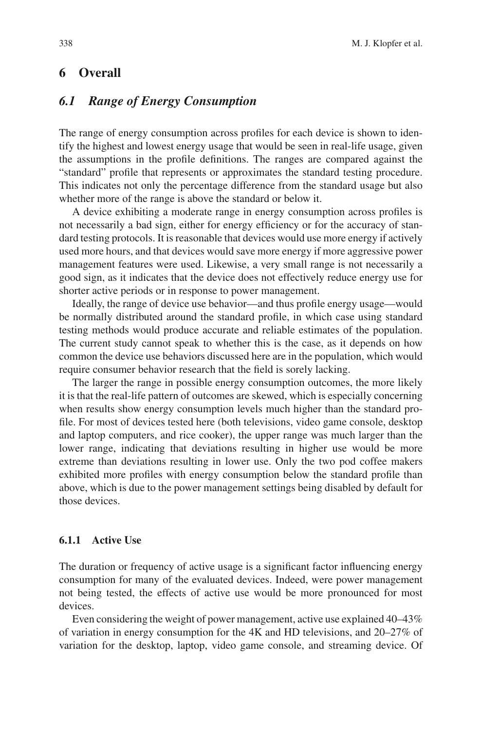## **6 Overall**

### *6.1 Range of Energy Consumption*

The range of energy consumption across profles for each device is shown to identify the highest and lowest energy usage that would be seen in real-life usage, given the assumptions in the profle defnitions. The ranges are compared against the "standard" profle that represents or approximates the standard testing procedure. This indicates not only the percentage difference from the standard usage but also whether more of the range is above the standard or below it.

A device exhibiting a moderate range in energy consumption across profles is not necessarily a bad sign, either for energy efficiency or for the accuracy of standard testing protocols. It is reasonable that devices would use more energy if actively used more hours, and that devices would save more energy if more aggressive power management features were used. Likewise, a very small range is not necessarily a good sign, as it indicates that the device does not effectively reduce energy use for shorter active periods or in response to power management.

Ideally, the range of device use behavior—and thus profle energy usage—would be normally distributed around the standard profle, in which case using standard testing methods would produce accurate and reliable estimates of the population. The current study cannot speak to whether this is the case, as it depends on how common the device use behaviors discussed here are in the population, which would require consumer behavior research that the feld is sorely lacking.

The larger the range in possible energy consumption outcomes, the more likely it is that the real-life pattern of outcomes are skewed, which is especially concerning when results show energy consumption levels much higher than the standard profle. For most of devices tested here (both televisions, video game console, desktop and laptop computers, and rice cooker), the upper range was much larger than the lower range, indicating that deviations resulting in higher use would be more extreme than deviations resulting in lower use. Only the two pod coffee makers exhibited more profles with energy consumption below the standard profle than above, which is due to the power management settings being disabled by default for those devices.

#### **6.1.1 Active Use**

The duration or frequency of active usage is a signifcant factor infuencing energy consumption for many of the evaluated devices. Indeed, were power management not being tested, the effects of active use would be more pronounced for most devices.

Even considering the weight of power management, active use explained 40–43% of variation in energy consumption for the 4K and HD televisions, and 20–27% of variation for the desktop, laptop, video game console, and streaming device. Of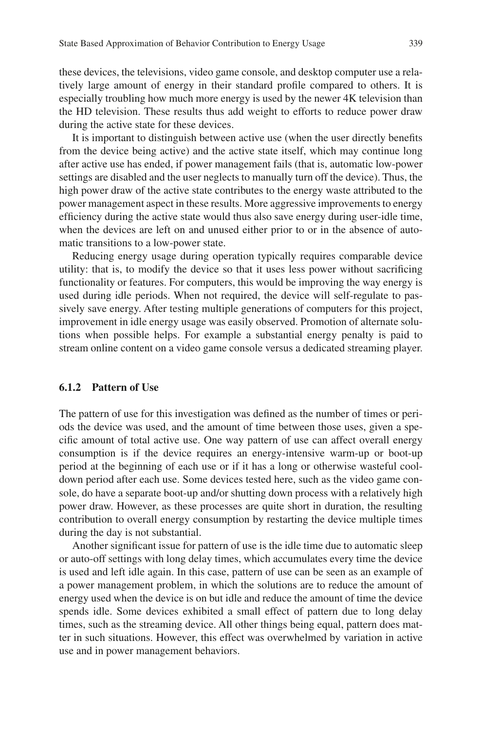these devices, the televisions, video game console, and desktop computer use a relatively large amount of energy in their standard profle compared to others. It is especially troubling how much more energy is used by the newer 4K television than the HD television. These results thus add weight to efforts to reduce power draw during the active state for these devices.

It is important to distinguish between active use (when the user directly benefts from the device being active) and the active state itself, which may continue long after active use has ended, if power management fails (that is, automatic low-power settings are disabled and the user neglects to manually turn off the device). Thus, the high power draw of the active state contributes to the energy waste attributed to the power management aspect in these results. More aggressive improvements to energy effciency during the active state would thus also save energy during user-idle time, when the devices are left on and unused either prior to or in the absence of automatic transitions to a low-power state.

Reducing energy usage during operation typically requires comparable device utility: that is, to modify the device so that it uses less power without sacrifcing functionality or features. For computers, this would be improving the way energy is used during idle periods. When not required, the device will self-regulate to passively save energy. After testing multiple generations of computers for this project, improvement in idle energy usage was easily observed. Promotion of alternate solutions when possible helps. For example a substantial energy penalty is paid to stream online content on a video game console versus a dedicated streaming player.

#### **6.1.2 Pattern of Use**

The pattern of use for this investigation was defned as the number of times or periods the device was used, and the amount of time between those uses, given a specifc amount of total active use. One way pattern of use can affect overall energy consumption is if the device requires an energy-intensive warm-up or boot-up period at the beginning of each use or if it has a long or otherwise wasteful cooldown period after each use. Some devices tested here, such as the video game console, do have a separate boot-up and/or shutting down process with a relatively high power draw. However, as these processes are quite short in duration, the resulting contribution to overall energy consumption by restarting the device multiple times during the day is not substantial.

Another signifcant issue for pattern of use is the idle time due to automatic sleep or auto-off settings with long delay times, which accumulates every time the device is used and left idle again. In this case, pattern of use can be seen as an example of a power management problem, in which the solutions are to reduce the amount of energy used when the device is on but idle and reduce the amount of time the device spends idle. Some devices exhibited a small effect of pattern due to long delay times, such as the streaming device. All other things being equal, pattern does matter in such situations. However, this effect was overwhelmed by variation in active use and in power management behaviors.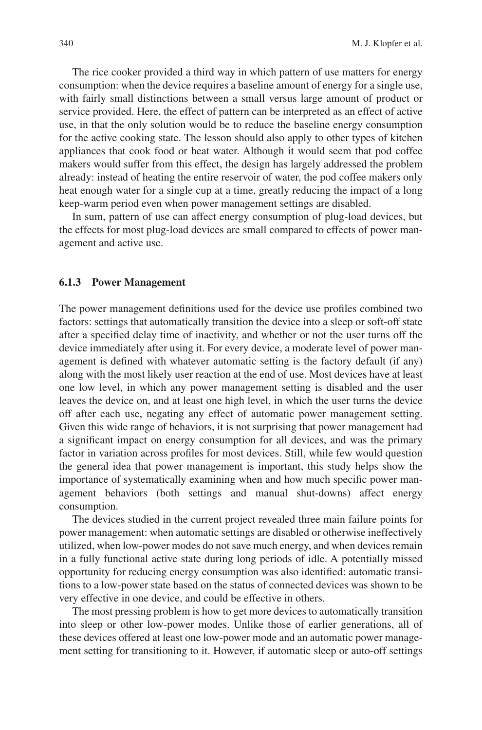The rice cooker provided a third way in which pattern of use matters for energy consumption: when the device requires a baseline amount of energy for a single use, with fairly small distinctions between a small versus large amount of product or service provided. Here, the effect of pattern can be interpreted as an effect of active use, in that the only solution would be to reduce the baseline energy consumption for the active cooking state. The lesson should also apply to other types of kitchen appliances that cook food or heat water. Although it would seem that pod coffee makers would suffer from this effect, the design has largely addressed the problem already: instead of heating the entire reservoir of water, the pod coffee makers only heat enough water for a single cup at a time, greatly reducing the impact of a long keep-warm period even when power management settings are disabled.

In sum, pattern of use can affect energy consumption of plug-load devices, but the effects for most plug-load devices are small compared to effects of power management and active use.

#### **6.1.3 Power Management**

The power management defnitions used for the device use profles combined two factors: settings that automatically transition the device into a sleep or soft-off state after a specifed delay time of inactivity, and whether or not the user turns off the device immediately after using it. For every device, a moderate level of power management is defned with whatever automatic setting is the factory default (if any) along with the most likely user reaction at the end of use. Most devices have at least one low level, in which any power management setting is disabled and the user leaves the device on, and at least one high level, in which the user turns the device off after each use, negating any effect of automatic power management setting. Given this wide range of behaviors, it is not surprising that power management had a signifcant impact on energy consumption for all devices, and was the primary factor in variation across profles for most devices. Still, while few would question the general idea that power management is important, this study helps show the importance of systematically examining when and how much specifc power management behaviors (both settings and manual shut-downs) affect energy consumption.

The devices studied in the current project revealed three main failure points for power management: when automatic settings are disabled or otherwise ineffectively utilized, when low-power modes do not save much energy, and when devices remain in a fully functional active state during long periods of idle. A potentially missed opportunity for reducing energy consumption was also identifed: automatic transitions to a low-power state based on the status of connected devices was shown to be very effective in one device, and could be effective in others.

The most pressing problem is how to get more devices to automatically transition into sleep or other low-power modes. Unlike those of earlier generations, all of these devices offered at least one low-power mode and an automatic power management setting for transitioning to it. However, if automatic sleep or auto-off settings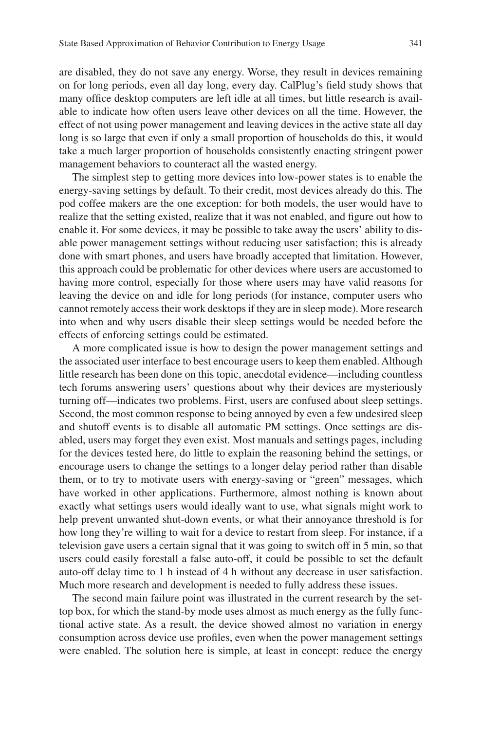are disabled, they do not save any energy. Worse, they result in devices remaining on for long periods, even all day long, every day. CalPlug's feld study shows that many offce desktop computers are left idle at all times, but little research is available to indicate how often users leave other devices on all the time. However, the effect of not using power management and leaving devices in the active state all day long is so large that even if only a small proportion of households do this, it would take a much larger proportion of households consistently enacting stringent power management behaviors to counteract all the wasted energy.

The simplest step to getting more devices into low-power states is to enable the energy-saving settings by default. To their credit, most devices already do this. The pod coffee makers are the one exception: for both models, the user would have to realize that the setting existed, realize that it was not enabled, and fgure out how to enable it. For some devices, it may be possible to take away the users' ability to disable power management settings without reducing user satisfaction; this is already done with smart phones, and users have broadly accepted that limitation. However, this approach could be problematic for other devices where users are accustomed to having more control, especially for those where users may have valid reasons for leaving the device on and idle for long periods (for instance, computer users who cannot remotely access their work desktops if they are in sleep mode). More research into when and why users disable their sleep settings would be needed before the effects of enforcing settings could be estimated.

A more complicated issue is how to design the power management settings and the associated user interface to best encourage users to keep them enabled. Although little research has been done on this topic, anecdotal evidence—including countless tech forums answering users' questions about why their devices are mysteriously turning off—indicates two problems. First, users are confused about sleep settings. Second, the most common response to being annoyed by even a few undesired sleep and shutoff events is to disable all automatic PM settings. Once settings are disabled, users may forget they even exist. Most manuals and settings pages, including for the devices tested here, do little to explain the reasoning behind the settings, or encourage users to change the settings to a longer delay period rather than disable them, or to try to motivate users with energy-saving or "green" messages, which have worked in other applications. Furthermore, almost nothing is known about exactly what settings users would ideally want to use, what signals might work to help prevent unwanted shut-down events, or what their annoyance threshold is for how long they're willing to wait for a device to restart from sleep. For instance, if a television gave users a certain signal that it was going to switch off in 5 min, so that users could easily forestall a false auto-off, it could be possible to set the default auto-off delay time to 1 h instead of 4 h without any decrease in user satisfaction. Much more research and development is needed to fully address these issues.

The second main failure point was illustrated in the current research by the settop box, for which the stand-by mode uses almost as much energy as the fully functional active state. As a result, the device showed almost no variation in energy consumption across device use profles, even when the power management settings were enabled. The solution here is simple, at least in concept: reduce the energy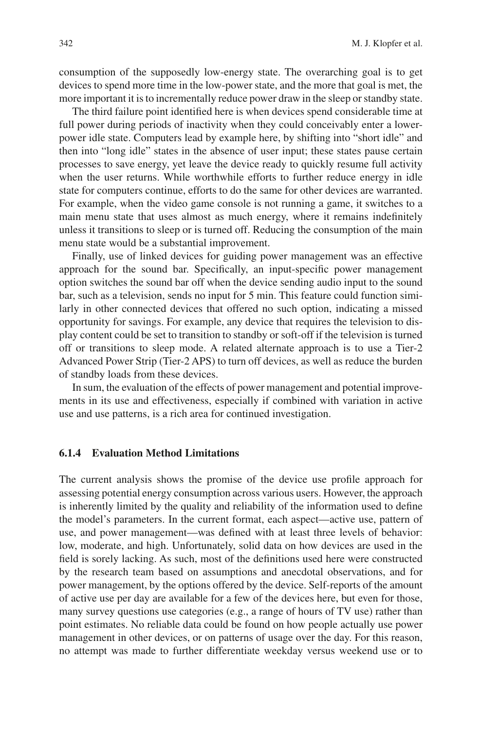consumption of the supposedly low-energy state. The overarching goal is to get devices to spend more time in the low-power state, and the more that goal is met, the more important it is to incrementally reduce power draw in the sleep or standby state.

The third failure point identifed here is when devices spend considerable time at full power during periods of inactivity when they could conceivably enter a lowerpower idle state. Computers lead by example here, by shifting into "short idle" and then into "long idle" states in the absence of user input; these states pause certain processes to save energy, yet leave the device ready to quickly resume full activity when the user returns. While worthwhile efforts to further reduce energy in idle state for computers continue, efforts to do the same for other devices are warranted. For example, when the video game console is not running a game, it switches to a main menu state that uses almost as much energy, where it remains indefnitely unless it transitions to sleep or is turned off. Reducing the consumption of the main menu state would be a substantial improvement.

Finally, use of linked devices for guiding power management was an effective approach for the sound bar. Specifcally, an input-specifc power management option switches the sound bar off when the device sending audio input to the sound bar, such as a television, sends no input for 5 min. This feature could function similarly in other connected devices that offered no such option, indicating a missed opportunity for savings. For example, any device that requires the television to display content could be set to transition to standby or soft-off if the television is turned off or transitions to sleep mode. A related alternate approach is to use a Tier-2 Advanced Power Strip (Tier-2 APS) to turn off devices, as well as reduce the burden of standby loads from these devices.

In sum, the evaluation of the effects of power management and potential improvements in its use and effectiveness, especially if combined with variation in active use and use patterns, is a rich area for continued investigation.

#### **6.1.4 Evaluation Method Limitations**

The current analysis shows the promise of the device use profle approach for assessing potential energy consumption across various users. However, the approach is inherently limited by the quality and reliability of the information used to defne the model's parameters. In the current format, each aspect—active use, pattern of use, and power management—was defned with at least three levels of behavior: low, moderate, and high. Unfortunately, solid data on how devices are used in the feld is sorely lacking. As such, most of the defnitions used here were constructed by the research team based on assumptions and anecdotal observations, and for power management, by the options offered by the device. Self-reports of the amount of active use per day are available for a few of the devices here, but even for those, many survey questions use categories (e.g., a range of hours of TV use) rather than point estimates. No reliable data could be found on how people actually use power management in other devices, or on patterns of usage over the day. For this reason, no attempt was made to further differentiate weekday versus weekend use or to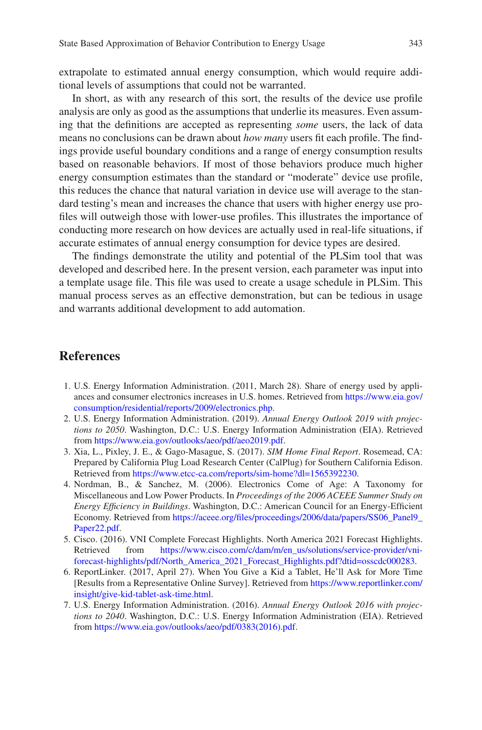extrapolate to estimated annual energy consumption, which would require additional levels of assumptions that could not be warranted.

In short, as with any research of this sort, the results of the device use profle analysis are only as good as the assumptions that underlie its measures. Even assuming that the defnitions are accepted as representing *some* users, the lack of data means no conclusions can be drawn about *how many* users ft each profle. The fndings provide useful boundary conditions and a range of energy consumption results based on reasonable behaviors. If most of those behaviors produce much higher energy consumption estimates than the standard or "moderate" device use profle, this reduces the chance that natural variation in device use will average to the standard testing's mean and increases the chance that users with higher energy use profles will outweigh those with lower-use profles. This illustrates the importance of conducting more research on how devices are actually used in real-life situations, if accurate estimates of annual energy consumption for device types are desired.

The fndings demonstrate the utility and potential of the PLSim tool that was developed and described here. In the present version, each parameter was input into a template usage fle. This fle was used to create a usage schedule in PLSim. This manual process serves as an effective demonstration, but can be tedious in usage and warrants additional development to add automation.

### **References**

- <span id="page-24-0"></span>1. U.S. Energy Information Administration. (2011, March 28). Share of energy used by appliances and consumer electronics increases in U.S. homes. Retrieved from [https://www.eia.gov/](https://www.eia.gov/consumption/residential/reports/2009/electronics.php) [consumption/residential/reports/2009/electronics.php.](https://www.eia.gov/consumption/residential/reports/2009/electronics.php)
- <span id="page-24-1"></span>2. U.S. Energy Information Administration. (2019). *Annual Energy Outlook 2019 with projections to 2050*. Washington, D.C.: U.S. Energy Information Administration (EIA). Retrieved from<https://www.eia.gov/outlooks/aeo/pdf/aeo2019.pdf>.
- <span id="page-24-2"></span>3. Xia, L., Pixley, J. E., & Gago-Masague, S. (2017). *SIM Home Final Report*. Rosemead, CA: Prepared by California Plug Load Research Center (CalPlug) for Southern California Edison. Retrieved from <https://www.etcc-ca.com/reports/sim-home?dl=1565392230>.
- <span id="page-24-3"></span>4. Nordman, B., & Sanchez, M. (2006). Electronics Come of Age: A Taxonomy for Miscellaneous and Low Power Products. In *Proceedings of the 2006 ACEEE Summer Study on Energy Effciency in Buildings*. Washington, D.C.: American Council for an Energy-Effcient Economy. Retrieved from https://aceee.org/files/proceedings/2006/data/papers/SS06\_Panel9\_ [Paper22.pdf.](https://aceee.org/files/proceedings/2006/data/papers/SS06_Panel9_Paper22.pdf)
- <span id="page-24-4"></span>5. Cisco. (2016). VNI Complete Forecast Highlights. North America 2021 Forecast Highlights. Retrieved from [https://www.cisco.com/c/dam/m/en\\_us/solutions/service-provider/vni](https://www.cisco.com/c/dam/m/en_us/solutions/service-provider/vni-forecast-highlights/pdf/North_America_2021_Forecast_Highlights.pdf?dtid=osscdc000283)[forecast-highlights/pdf/North\\_America\\_2021\\_Forecast\\_Highlights.pdf?dtid=osscdc000283](https://www.cisco.com/c/dam/m/en_us/solutions/service-provider/vni-forecast-highlights/pdf/North_America_2021_Forecast_Highlights.pdf?dtid=osscdc000283).
- <span id="page-24-5"></span>6. ReportLinker. (2017, April 27). When You Give a Kid a Tablet, He'll Ask for More Time [Results from a Representative Online Survey]. Retrieved from [https://www.reportlinker.com/](https://www.reportlinker.com/insight/give-kid-tablet-ask-time.html) [insight/give-kid-tablet-ask-time.html](https://www.reportlinker.com/insight/give-kid-tablet-ask-time.html).
- <span id="page-24-6"></span>7. U.S. Energy Information Administration. (2016). *Annual Energy Outlook 2016 with projections to 2040*. Washington, D.C.: U.S. Energy Information Administration (EIA). Retrieved from [https://www.eia.gov/outlooks/aeo/pdf/0383\(2016\).pdf](https://www.eia.gov/outlooks/aeo/pdf/0383(2016).pdf).